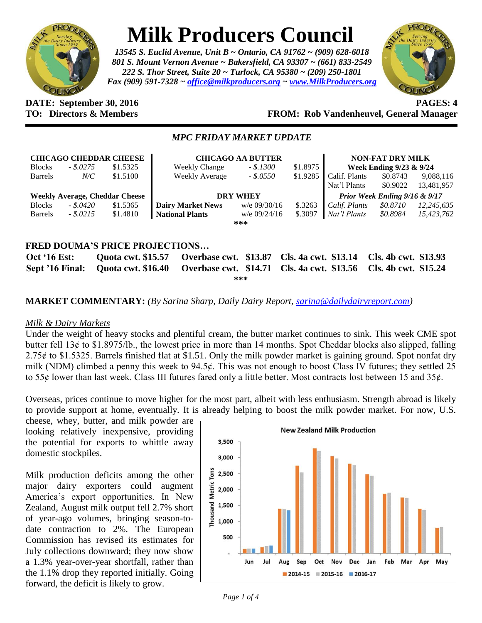

# **Milk Producers Council**

*13545 S. Euclid Avenue, Unit B ~ Ontario, CA 91762 ~ (909) 628-6018 801 S. Mount Vernon Avenue ~ Bakersfield, CA 93307 ~ (661) 833-2549 222 S. Thor Street, Suite 20 ~ Turlock, CA 95380 ~ (209) 250-1801 Fax (909) 591-7328 ~ [office@milkproducers.org](mailto:office@milkproducers.org) ~ [www.MilkProducers.org](http://www.milkproducers.org/)*



### **DATE: September 30, 2016 PAGES: 4 TO: Directors & Members FROM: Rob Vandenheuvel, General Manager**

## *MPC FRIDAY MARKET UPDATE*

| <b>CHICAGO CHEDDAR CHEESE</b>         |            |          | <b>CHICAGO AA BUTTER</b> |                |          | <b>NON-FAT DRY MILK</b>       |          |            |  |  |
|---------------------------------------|------------|----------|--------------------------|----------------|----------|-------------------------------|----------|------------|--|--|
| <b>Blocks</b>                         | $-.5.0275$ | \$1.5325 | <b>Weekly Change</b>     | $-.5.1300$     | \$1.8975 | Week Ending 9/23 & 9/24       |          |            |  |  |
| <b>Barrels</b>                        | $N\!/\!C$  | \$1.5100 | Weekly Average           | $-.$ \$.0550   | \$1.9285 | Calif. Plants                 | \$0.8743 | 9,088,116  |  |  |
|                                       |            |          |                          |                |          | Nat'l Plants                  | \$0.9022 | 13,481,957 |  |  |
| <b>Weekly Average, Cheddar Cheese</b> |            |          | <b>DRY WHEY</b>          |                |          | Prior Week Ending 9/16 & 9/17 |          |            |  |  |
| <b>Blocks</b>                         | - \$.0420  | \$1.5365 | <b>Dairy Market News</b> | $w/e$ 09/30/16 | \$.3263  | Calif. Plants                 | \$0.8710 | 12,245,635 |  |  |
| <b>Barrels</b>                        | $-.5.0215$ | \$1.4810 | <b>National Plants</b>   | $w/e$ 09/24/16 | \$.3097  | Nat'l Plants                  | \$0.8984 | 15,423,762 |  |  |
|                                       |            |          |                          | ***            |          |                               |          |            |  |  |
|                                       |            |          |                          |                |          |                               |          |            |  |  |
| FRED DOUMA'S PRICE PROJECTIONS        |            |          |                          |                |          |                               |          |            |  |  |

**Oct '16 Est: Quota cwt. \$15.57 Overbase cwt. \$13.87 Cls. 4a cwt. \$13.14 Cls. 4b cwt. \$13.93 Sept '16 Final: Quota cwt. \$16.40 Overbase cwt. \$14.71 Cls. 4a cwt. \$13.56 Cls. 4b cwt. \$15.24 \*\*\***

# **MARKET COMMENTARY:** *(By Sarina Sharp, Daily Dairy Report, [sarina@dailydairyreport.com\)](mailto:sarina@dailydairyreport.com)*

## *Milk & Dairy Markets*

Under the weight of heavy stocks and plentiful cream, the butter market continues to sink. This week CME spot butter fell 13¢ to \$1.8975/lb., the lowest price in more than 14 months. Spot Cheddar blocks also slipped, falling  $2.75¢$  to \$1.5325. Barrels finished flat at \$1.51. Only the milk powder market is gaining ground. Spot nonfat dry milk (NDM) climbed a penny this week to  $94.5¢$ . This was not enough to boost Class IV futures; they settled 25 to 55 $\phi$  lower than last week. Class III futures fared only a little better. Most contracts lost between 15 and 35 $\phi$ .

Overseas, prices continue to move higher for the most part, albeit with less enthusiasm. Strength abroad is likely to provide support at home, eventually. It is already helping to boost the milk powder market. For now, U.S.

cheese, whey, butter, and milk powder are looking relatively inexpensive, providing the potential for exports to whittle away domestic stockpiles.

Milk production deficits among the other major dairy exporters could augment America's export opportunities. In New Zealand, August milk output fell 2.7% short of year-ago volumes, bringing season-todate contraction to 2%. The European Commission has revised its estimates for July collections downward; they now show a 1.3% year-over-year shortfall, rather than the 1.1% drop they reported initially. Going forward, the deficit is likely to grow.

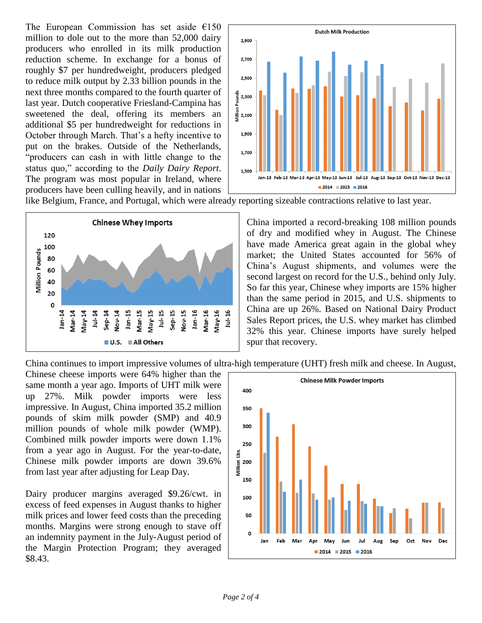The European Commission has set aside  $€150$ million to dole out to the more than 52,000 dairy producers who enrolled in its milk production reduction scheme. In exchange for a bonus of roughly \$7 per hundredweight, producers pledged to reduce milk output by 2.33 billion pounds in the next three months compared to the fourth quarter of last year. Dutch cooperative Friesland-Campina has sweetened the deal, offering its members an additional \$5 per hundredweight for reductions in October through March. That's a hefty incentive to put on the brakes. Outside of the Netherlands, "producers can cash in with little change to the status quo," according to the *Daily Dairy Report*. The program was most popular in Ireland, where producers have been culling heavily, and in nations



like Belgium, France, and Portugal, which were already reporting sizeable contractions relative to last year.



China imported a record-breaking 108 million pounds of dry and modified whey in August. The Chinese have made America great again in the global whey market; the United States accounted for 56% of China's August shipments, and volumes were the second largest on record for the U.S., behind only July. So far this year, Chinese whey imports are 15% higher than the same period in 2015, and U.S. shipments to China are up 26%. Based on National Dairy Product Sales Report prices, the U.S. whey market has climbed 32% this year. Chinese imports have surely helped spur that recovery.

China continues to import impressive volumes of ultra-high temperature (UHT) fresh milk and cheese. In August,

Chinese cheese imports were 64% higher than the same month a year ago. Imports of UHT milk were up 27%. Milk powder imports were less impressive. In August, China imported 35.2 million pounds of skim milk powder (SMP) and 40.9 million pounds of whole milk powder (WMP). Combined milk powder imports were down 1.1% from a year ago in August. For the year-to-date, Chinese milk powder imports are down 39.6% from last year after adjusting for Leap Day.

Dairy producer margins averaged \$9.26/cwt. in excess of feed expenses in August thanks to higher milk prices and lower feed costs than the preceding months. Margins were strong enough to stave off an indemnity payment in the July-August period of the Margin Protection Program; they averaged \$8.43.

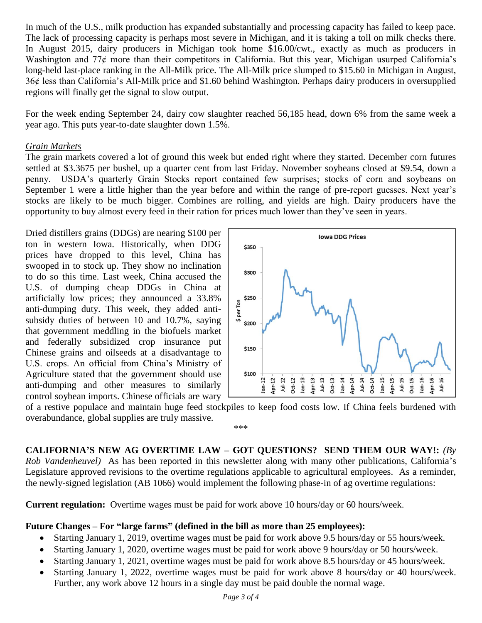In much of the U.S., milk production has expanded substantially and processing capacity has failed to keep pace. The lack of processing capacity is perhaps most severe in Michigan, and it is taking a toll on milk checks there. In August 2015, dairy producers in Michigan took home \$16.00/cwt., exactly as much as producers in Washington and  $77¢$  more than their competitors in California. But this year, Michigan usurped California's long-held last-place ranking in the All-Milk price. The All-Milk price slumped to \$15.60 in Michigan in August, 36ȼ less than California's All-Milk price and \$1.60 behind Washington. Perhaps dairy producers in oversupplied regions will finally get the signal to slow output.

For the week ending September 24, dairy cow slaughter reached 56,185 head, down 6% from the same week a year ago. This puts year-to-date slaughter down 1.5%.

#### *Grain Markets*

The grain markets covered a lot of ground this week but ended right where they started. December corn futures settled at \$3.3675 per bushel, up a quarter cent from last Friday. November soybeans closed at \$9.54, down a penny. USDA's quarterly Grain Stocks report contained few surprises; stocks of corn and soybeans on September 1 were a little higher than the year before and within the range of pre-report guesses. Next year's stocks are likely to be much bigger. Combines are rolling, and yields are high. Dairy producers have the opportunity to buy almost every feed in their ration for prices much lower than they've seen in years.

Dried distillers grains (DDGs) are nearing \$100 per ton in western Iowa. Historically, when DDG prices have dropped to this level, China has swooped in to stock up. They show no inclination to do so this time. Last week, China accused the U.S. of dumping cheap DDGs in China at artificially low prices; they announced a 33.8% anti-dumping duty. This week, they added antisubsidy duties of between 10 and 10.7%, saying that government meddling in the biofuels market and federally subsidized crop insurance put Chinese grains and oilseeds at a disadvantage to U.S. crops. An official from China's Ministry of Agriculture stated that the government should use anti-dumping and other measures to similarly control soybean imports. Chinese officials are wary



of a restive populace and maintain huge feed stockpiles to keep food costs low. If China feels burdened with overabundance, global supplies are truly massive. \*\*\*

**CALIFORNIA'S NEW AG OVERTIME LAW – GOT QUESTIONS? SEND THEM OUR WAY!:** *(By Rob Vandenheuvel)* As has been reported in this newsletter along with many other publications, California's Legislature approved revisions to the overtime regulations applicable to agricultural employees. As a reminder, the newly-signed legislation (AB 1066) would implement the following phase-in of ag overtime regulations:

**Current regulation:** Overtime wages must be paid for work above 10 hours/day or 60 hours/week.

#### **Future Changes – For "large farms" (defined in the bill as more than 25 employees):**

- Starting January 1, 2019, overtime wages must be paid for work above 9.5 hours/day or 55 hours/week.
- Starting January 1, 2020, overtime wages must be paid for work above 9 hours/day or 50 hours/week.
- Starting January 1, 2021, overtime wages must be paid for work above 8.5 hours/day or 45 hours/week.
- Starting January 1, 2022, overtime wages must be paid for work above 8 hours/day or 40 hours/week. Further, any work above 12 hours in a single day must be paid double the normal wage.